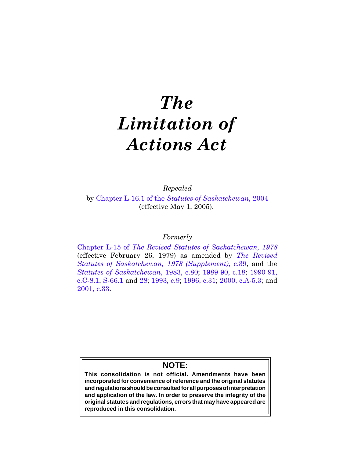# *The Limitation of Actions Act*

*Repealed*

by Chapter L-16.1 of the *[Statutes of Saskatchewan](https://publications.saskatchewan.ca:443/api/v1/products/9371/formats/14125/download)*, 2004 (effective May 1, 2005).

# *Formerly*

Chapter L-15 of *[The Revised Statutes of Saskatchewan, 1978](https://publications.saskatchewan.ca:443/api/v1/products/30897/formats/37988/download)* (effective February 26, 1979) as amended by *[The Revised](https://publications.saskatchewan.ca:443/api/v1/products/65942/formats/73350/download) [Statutes of Saskatchewan, 1978 \(Supplement\)](https://publications.saskatchewan.ca:443/api/v1/products/65942/formats/73350/download)*, c.39, and the *[Statutes of Saskatchewan](https://publications.saskatchewan.ca:443/api/v1/products/30586/formats/37565/download)*, 1983, c.80; [1989-90, c.18;](https://publications.saskatchewan.ca:443/api/v1/products/24551/formats/31541/download) [1990-91](https://publications.saskatchewan.ca:443/api/v1/products/24727/formats/31814/download), [c.C-8.1](https://publications.saskatchewan.ca:443/api/v1/products/24727/formats/31814/download), [S-66.1](https://publications.saskatchewan.ca:443/api/v1/products/24743/formats/31846/download) and [28;](https://publications.saskatchewan.ca:443/api/v1/products/24712/formats/31784/download) [1993, c.9;](https://publications.saskatchewan.ca:443/api/v1/products/26384/formats/33501/download) [1996, c.31](https://publications.saskatchewan.ca:443/api/v1/products/25334/formats/32786/download); [2000, c.A-5.3](https://publications.saskatchewan.ca:443/api/v1/products/3442/formats/6474/download); and [2001, c.33](https://publications.saskatchewan.ca:443/api/v1/products/3417/formats/6425/download).

# **NOTE:**

**This consolidation is not official. Amendments have been incorporated for convenience of reference and the original statutes and regulations should be consulted for all purposes of interpretation and application of the law. In order to preserve the integrity of the original statutes and regulations, errors that may have appeared are reproduced in this consolidation.**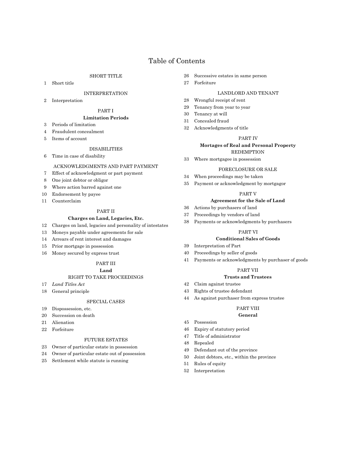# Table of Contents

# SHORT TITLE

1 Short title

#### INTERPRETATION

2 Interpretation

# PART I

#### **Limitation Periods**

- 3 Periods of limitation
- 4 Fraudulent concealment
- 5 Items of account

# **DISABILITIES**

6 Time in case of disability

#### ACKNOWLEDGMENTS AND PART PAYMENT

- 7 Effect of acknowledgment or part payment
- 8 One joint debtor or obligor
- 9 Where action barred against one
- 10 Endorsement by payee
- 11 Counterclaim

## PART II

# **Charges on Land, Legacies, Etc.**

- 12 Charges on land, legacies and personality of intestates
- 13 Moneys payable under agreements for sale
- 14 Arrears of rent interest and damages
- 15 Prior mortgage in possession
- 16 Money secured by express trust

# PART III

#### **Land**

# RIGHT TO TAKE PROCEEDINGS

- 17 *Land Titles Act*
- 18 General principle

#### SPECIAL CASES

- 19 Dispossession, etc.
- 20 Succession on death
- 21 Alienation
- 22 Forfeiture

#### FUTURE ESTATES

- 23 Owner of particular estate in possession
- 24 Owner of particular estate out of possession
- 25 Settlement while statute is running
- 26 Successive estates in same person
- 27 Forfeiture

#### LANDLORD AND TENANT

- 28 Wrongful receipt of rent
- 29 Tenancy from year to year
- 30 Tenancy at will
- 31 Concealed fraud
- 32 Acknowledgments of title

#### PART IV

# **Mortages of Real and Personal Property** REDEMPTION

33 Where mortgagee in possession

#### FORECLOSURE OR SALE

- 34 When proceedings may be taken
- 35 Payment or acknowledgment by mortgagor

#### PART V

#### **Agreement for the Sale of Land**

- 36 Actions by purchasers of land
- 37 Proceedings by vendors of land
- 38 Payments or acknowledgments by purchasers

#### PART VI

#### **Conditional Sales of Goods**

- 39 Interpretation of Part
- 40 Proceedings by seller of goods
- 41 Payments or acknowledgments by purchaser of goods

#### PART VII

#### **Trusts and Trustees**

- 42 Claim against trustee
- 43 Rights of trustee defendant
- 44 As against purchaser from express trustee

#### PART VIII

#### **General**

- 45 Possession
- 46 Expiry of statutory period
- 47 Title of administrator
- 48 Repealed
- 49 Defendant out of the province
- 50 Joint debtors, etc., within the province
- 51 Rules of equity
- 52 Interpretation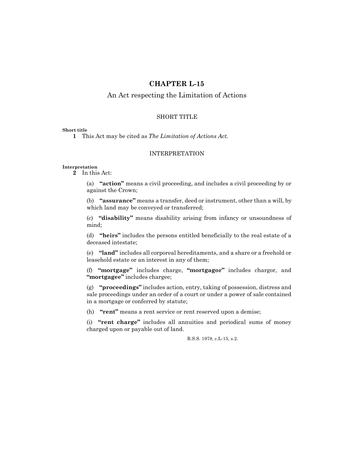# **CHAPTER L-15**

# An Act respecting the Limitation of Actions

# SHORT TITLE

#### **Short title**

**1** This Act may be cited as *The Limitation of Actions Act.*

# INTERPRETATION

### **Interpretation**

**2** In this Act:

(a) **"action"** means a civil proceeding, and includes a civil proceeding by or against the Crown;

(b) **"assurance"** means a transfer, deed or instrument, other than a will, by which land may be conveyed or transferred;

(c) **"disability"** means disability arising from infancy or unsoundness of mind;

(d) **"heirs"** includes the persons entitled beneficially to the real estate of a deceased intestate;

(e) **"land"** includes all corporeal hereditaments, and a share or a freehold or leasehold estate or an interest in any of them;

(f) **"mortgage"** includes charge, **"mortgagor"** includes chargor, and **"mortgagee"** includes chargee;

(g) **"proceedings"** includes action, entry, taking of possession, distress and sale proceedings under an order of a court or under a power of sale contained in a mortgage or conferred by statute;

(h) **"rent"** means a rent service or rent reserved upon a demise;

(i) **"rent charge"** includes all annuities and periodical sums of money charged upon or payable out of land.

R.S.S. 1978, c.L-15, s.2.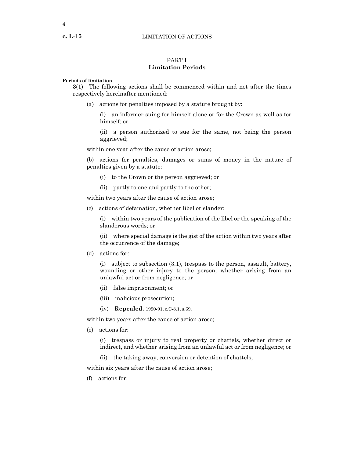#### **c. L-15** LIMITATION OF ACTIONS

# PART I **Limitation Periods**

#### **Periods of limitation**

**3**(1) The following actions shall be commenced within and not after the times respectively hereinafter mentioned:

(a) actions for penalties imposed by a statute brought by:

(i) an informer suing for himself alone or for the Crown as well as for himself; or

(ii) a person authorized to sue for the same, not being the person aggrieved;

within one year after the cause of action arose;

(b) actions for penalties, damages or sums of money in the nature of penalties given by a statute:

- (i) to the Crown or the person aggrieved; or
- (ii) partly to one and partly to the other;

within two years after the cause of action arose;

(c) actions of defamation, whether libel or slander:

(i) within two years of the publication of the libel or the speaking of the slanderous words; or

(ii) where special damage is the gist of the action within two years after the occurrence of the damage;

(d) actions for:

(i) subject to subsection (3.1), trespass to the person, assault, battery, wounding or other injury to the person, whether arising from an unlawful act or from negligence; or

- (ii) false imprisonment; or
- (iii) malicious prosecution;
- (iv) **Repealed.** 1990-91, c.C-8.1, s.69.

within two years after the cause of action arose;

(e) actions for:

(i) trespass or injury to real property or chattels, whether direct or indirect, and whether arising from an unlawful act or from negligence; or

(ii) the taking away, conversion or detention of chattels;

within six years after the cause of action arose;

(f) actions for: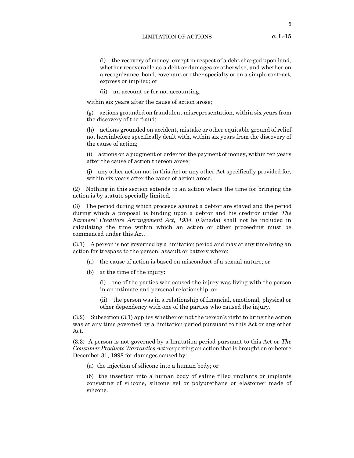#### LIMITATION OF ACTIONS **c. L-15**

(i) the recovery of money, except in respect of a debt charged upon land, whether recoverable as a debt or damages or otherwise, and whether on a recognizance, bond, covenant or other specialty or on a simple contract, express or implied; or

(ii) an account or for not accounting;

within six years after the cause of action arose;

(g) actions grounded on fraudulent misrepresentation, within six years from the discovery of the fraud;

(h) actions grounded on accident, mistake or other equitable ground of relief not hereinbefore specifically dealt with, within six years from the discovery of the cause of action;

(i) actions on a judgment or order for the payment of money, within ten years after the cause of action thereon arose;

(j) any other action not in this Act or any other Act specifically provided for, within six years after the cause of action arose.

(2) Nothing in this section extends to an action where the time for bringing the action is by statute specially limited.

(3) The period during which proceeds against a debtor are stayed and the period during which a proposal is binding upon a debtor and his creditor under *The Farmers' Creditors Arrangement Act, 1934*, (Canada) shall not be included in calculating the time within which an action or other proceeding must be commenced under this Act.

(3.1) A person is not governed by a limitation period and may at any time bring an action for trespass to the person, assault or battery where:

- (a) the cause of action is based on misconduct of a sexual nature; or
- (b) at the time of the injury:

(i) one of the parties who caused the injury was living with the person in an intimate and personal relationship; or

(ii) the person was in a relationship of financial, emotional, physical or other dependency with one of the parties who caused the injury.

(3.2) Subsection (3.1) applies whether or not the person's right to bring the action was at any time governed by a limitation period pursuant to this Act or any other Act.

(3.3) A person is not governed by a limitation period pursuant to this Act or *The Consumer Products Warranties Act* respecting an action that is brought on or before December 31, 1998 for damages caused by:

(a) the injection of silicone into a human body; or

(b) the insertion into a human body of saline filled implants or implants consisting of silicone, silicone gel or polyurethane or elastomer made of silicone.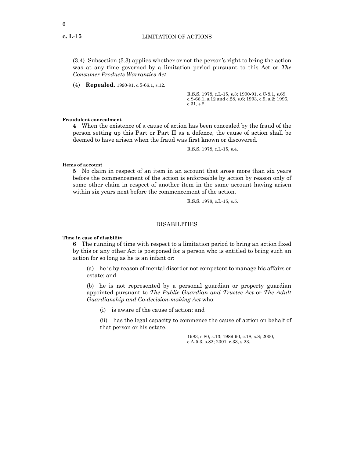(3.4) Subsection (3.3) applies whether or not the person's right to bring the action was at any time governed by a limitation period pursuant to this Act or *The Consumer Products Warranties Act*.

(4) **Repealed.** 1990-91, c.S-66.1, s.12.

R.S.S. 1978, c.L-15, s.3; 1990-91, c.C-8.1, s.69, c.S-66.1, s.12 and c.28, s.6; 1993, c.9, s.2; 1996, c.31, s.2.

#### **Fraudulent concealment**

**4** When the existence of a cause of action has been concealed by the fraud of the person setting up this Part or Part II as a defence, the cause of action shall be deemed to have arisen when the fraud was first known or discovered.

R.S.S. 1978, c.L-15, s.4.

**Items of account**

**5** No claim in respect of an item in an account that arose more than six years before the commencement of the action is enforceable by action by reason only of some other claim in respect of another item in the same account having arisen within six years next before the commencement of the action.

R.S.S. 1978, c.L-15, s.5.

#### DISABILITIES

**Time in case of disability**

**6** The running of time with respect to a limitation period to bring an action fixed by this or any other Act is postponed for a person who is entitled to bring such an action for so long as he is an infant or:

(a) he is by reason of mental disorder not competent to manage his affairs or estate; and

(b) he is not represented by a personal guardian or property guardian appointed pursuant to *The Public Guardian and Trustee Act* or *The Adult Guardianship and Co-decision-making Act* who:

(i) is aware of the cause of action; and

(ii) has the legal capacity to commence the cause of action on behalf of that person or his estate.

> 1983, c.80, s.13; 1989-90, c.18, s.8; 2000, c.A-5.3, s.82; 2001, c.33, s.23.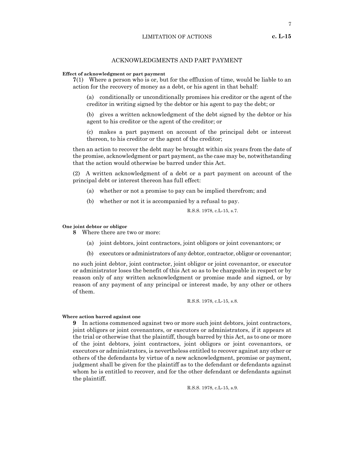7

# ACKNOWLEDGMENTS AND PART PAYMENT

#### **Effect of acknowledgment or part payment**

**7**(1) Where a person who is or, but for the effluxion of time, would be liable to an action for the recovery of money as a debt, or his agent in that behalf:

(a) conditionally or unconditionally promises his creditor or the agent of the creditor in writing signed by the debtor or his agent to pay the debt; or

(b) gives a written acknowledgment of the debt signed by the debtor or his agent to his creditor or the agent of the creditor; or

(c) makes a part payment on account of the principal debt or interest thereon, to his creditor or the agent of the creditor;

then an action to recover the debt may be brought within six years from the date of the promise, acknowledgment or part payment, as the case may be, notwithstanding that the action would otherwise be barred under this Act.

(2) A written acknowledgment of a debt or a part payment on account of the principal debt or interest thereon has full effect:

- (a) whether or not a promise to pay can be implied therefrom; and
- (b) whether or not it is accompanied by a refusal to pay.

R.S.S. 1978, c.L-15, s.7.

#### **One joint debtor or obligor**

**8** Where there are two or more:

- (a) joint debtors, joint contractors, joint obligors or joint covenantors; or
- (b) executors or administrators of any debtor, contractor, obligor or covenantor;

no such joint debtor, joint contractor, joint obligor or joint covenantor, or executor or administrator loses the benefit of this Act so as to be chargeable in respect or by reason only of any written acknowledgment or promise made and signed, or by reason of any payment of any principal or interest made, by any other or others of them.

R.S.S. 1978, c.L-15, s.8.

#### **Where action barred against one**

**9** In actions commenced against two or more such joint debtors, joint contractors, joint obligors or joint covenantors, or executors or administrators, if it appears at the trial or otherwise that the plaintiff, though barred by this Act, as to one or more of the joint debtors, joint contractors, joint obligors or joint covenantors, or executors or administrators, is nevertheless entitled to recover against any other or others of the defendants by virtue of a new acknowledgment, promise or payment, judgment shall be given for the plaintiff as to the defendant or defendants against whom he is entitled to recover, and for the other defendant or defendants against the plaintiff.

R.S.S. 1978, c.L-15, s.9.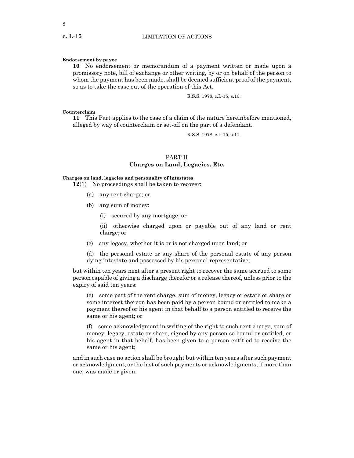#### **Endorsement by payee**

**10** No endorsement or memorandum of a payment written or made upon a promissory note, bill of exchange or other writing, by or on behalf of the person to whom the payment has been made, shall be deemed sufficient proof of the payment, so as to take the case out of the operation of this Act.

R.S.S. 1978, c.L-15, s.10.

#### **Counterclaim**

**11** This Part applies to the case of a claim of the nature hereinbefore mentioned, alleged by way of counterclaim or set-off on the part of a defendant.

R.S.S. 1978, c.L-15, s.11.

# PART II **Charges on Land, Legacies, Etc.**

### **Charges on land, legacies and personality of intestates**

**12**(1) No proceedings shall be taken to recover:

- (a) any rent charge; or
- (b) any sum of money:
	- (i) secured by any mortgage; or
	- (ii) otherwise charged upon or payable out of any land or rent charge; or
- (c) any legacy, whether it is or is not charged upon land; or
- (d) the personal estate or any share of the personal estate of any person dying intestate and possessed by his personal representative;

but within ten years next after a present right to recover the same accrued to some person capable of giving a discharge therefor or a release thereof, unless prior to the expiry of said ten years:

(e) some part of the rent charge, sum of money, legacy or estate or share or some interest thereon has been paid by a person bound or entitled to make a payment thereof or his agent in that behalf to a person entitled to receive the same or his agent; or

(f) some acknowledgment in writing of the right to such rent charge, sum of money, legacy, estate or share, signed by any person so bound or entitled, or his agent in that behalf, has been given to a person entitled to receive the same or his agent;

and in such case no action shall be brought but within ten years after such payment or acknowledgment, or the last of such payments or acknowledgments, if more than one, was made or given.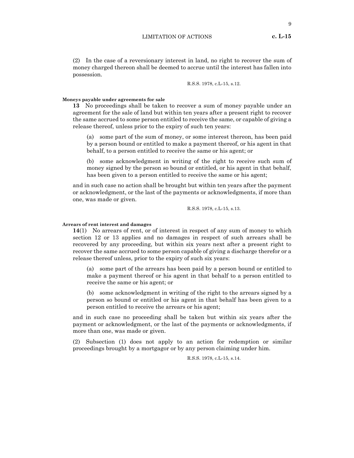LIMITATION OF ACTIONS **c. L-15**

9

(2) In the case of a reversionary interest in land, no right to recover the sum of money charged thereon shall be deemed to accrue until the interest has fallen into possession.

R.S.S. 1978, c.L-15, s.12.

#### **Moneys payable under agreements for sale**

**13** No proceedings shall be taken to recover a sum of money payable under an agreement for the sale of land but within ten years after a present right to recover the same accrued to some person entitled to receive the same, or capable of giving a release thereof, unless prior to the expiry of such ten years:

(a) some part of the sum of money, or some interest thereon, has been paid by a person bound or entitled to make a payment thereof, or his agent in that behalf, to a person entitled to receive the same or his agent; or

(b) some acknowledgment in writing of the right to receive such sum of money signed by the person so bound or entitled, or his agent in that behalf, has been given to a person entitled to receive the same or his agent;

and in such case no action shall be brought but within ten years after the payment or acknowledgment, or the last of the payments or acknowledgments, if more than one, was made or given.

R.S.S. 1978, c.L-15, s.13.

#### **Arrears of rent interest and damages**

**14**(1) No arrears of rent, or of interest in respect of any sum of money to which section 12 or 13 applies and no damages in respect of such arrears shall be recovered by any proceeding, but within six years next after a present right to recover the same accrued to some person capable of giving a discharge therefor or a release thereof unless, prior to the expiry of such six years:

(a) some part of the arrears has been paid by a person bound or entitled to make a payment thereof or his agent in that behalf to a person entitled to receive the same or his agent; or

(b) some acknowledgment in writing of the right to the arrears signed by a person so bound or entitled or his agent in that behalf has been given to a person entitled to receive the arrears or his agent;

and in such case no proceeding shall be taken but within six years after the payment or acknowledgment, or the last of the payments or acknowledgments, if more than one, was made or given.

(2) Subsection (1) does not apply to an action for redemption or similar proceedings brought by a mortgagor or by any person claiming under him.

R.S.S. 1978, c.L-15, s.14.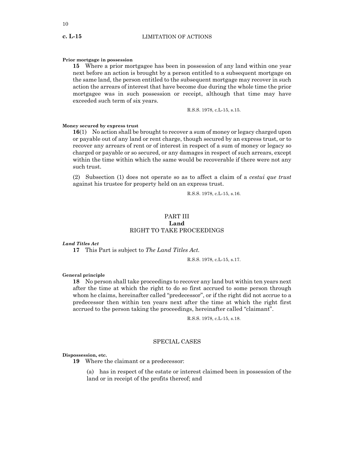#### **Prior mortgage in possession**

**15** Where a prior mortgagee has been in possession of any land within one year next before an action is brought by a person entitled to a subsequent mortgage on the same land, the person entitled to the subsequent mortgage may recover in such action the arrears of interest that have become due during the whole time the prior mortgagee was in such possession or receipt, although that time may have exceeded such term of six years.

R.S.S. 1978, c.L-15, s.15.

#### **Money secured by express trust**

**16**(1) No action shall be brought to recover a sum of money or legacy charged upon or payable out of any land or rent charge, though secured by an express trust, or to recover any arrears of rent or of interest in respect of a sum of money or legacy so charged or payable or so secured, or any damages in respect of such arrears, except within the time within which the same would be recoverable if there were not any such trust.

(2) Subsection (1) does not operate so as to affect a claim of a *cestui que trust* against his trustee for property held on an express trust.

R.S.S. 1978, c.L-15, s.16.

# PART III **Land** RIGHT TO TAKE PROCEEDINGS

#### *Land Titles Act*

**17** This Part is subject to *The Land Titles Act.*

R.S.S. 1978, c.L-15, s.17.

#### **General principle**

**18** No person shall take proceedings to recover any land but within ten years next after the time at which the right to do so first accrued to some person through whom he claims, hereinafter called "predecessor", or if the right did not accrue to a predecessor then within ten years next after the time at which the right first accrued to the person taking the proceedings, hereinafter called "claimant".

R.S.S. 1978, c.L-15, s.18.

#### SPECIAL CASES

#### **Dispossession, etc.**

**19** Where the claimant or a predecessor:

(a) has in respect of the estate or interest claimed been in possession of the land or in receipt of the profits thereof; and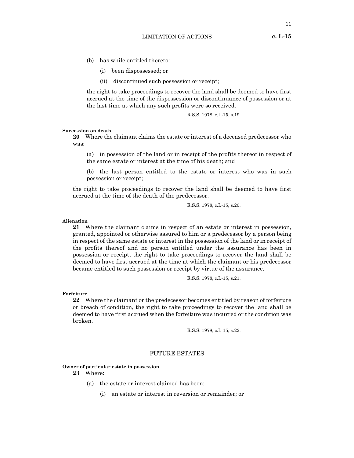- (b) has while entitled thereto:
	- (i) been dispossessed; or
	- (ii) discontinued such possession or receipt;

the right to take proceedings to recover the land shall be deemed to have first accrued at the time of the dispossession or discontinuance of possession or at the last time at which any such profits were so received.

R.S.S. 1978, c.L-15, s.19.

#### **Succession on death**

**20** Where the claimant claims the estate or interest of a deceased predecessor who was:

(a) in possession of the land or in receipt of the profits thereof in respect of the same estate or interest at the time of his death; and

(b) the last person entitled to the estate or interest who was in such possession or receipt;

the right to take proceedings to recover the land shall be deemed to have first accrued at the time of the death of the predecessor.

R.S.S. 1978, c.L-15, s.20.

#### **Alienation**

**21** Where the claimant claims in respect of an estate or interest in possession, granted, appointed or otherwise assured to him or a predecessor by a person being in respect of the same estate or interest in the possession of the land or in receipt of the profits thereof and no person entitled under the assurance has been in possession or receipt, the right to take proceedings to recover the land shall be deemed to have first accrued at the time at which the claimant or his predecessor became entitled to such possession or receipt by virtue of the assurance.

R.S.S. 1978, c.L-15, s.21.

**Forfeiture**

**22** Where the claimant or the predecessor becomes entitled by reason of forfeiture or breach of condition, the right to take proceedings to recover the land shall be deemed to have first accrued when the forfeiture was incurred or the condition was broken.

R.S.S. 1978, c.L-15, s.22.

# FUTURE ESTATES

#### **Owner of particular estate in possession**

**23** Where:

- (a) the estate or interest claimed has been:
	- (i) an estate or interest in reversion or remainder; or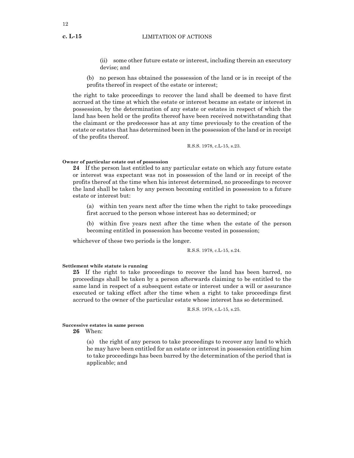#### **c. L-15** LIMITATION OF ACTIONS

- (ii) some other future estate or interest, including therein an executory devise; and
- (b) no person has obtained the possession of the land or is in receipt of the profits thereof in respect of the estate or interest;

the right to take proceedings to recover the land shall be deemed to have first accrued at the time at which the estate or interest became an estate or interest in possession, by the determination of any estate or estates in respect of which the land has been held or the profits thereof have been received notwithstanding that the claimant or the predecessor has at any time previously to the creation of the estate or estates that has determined been in the possession of the land or in receipt of the profits thereof.

R.S.S. 1978, c.L-15, s.23.

# **Owner of particular estate out of possession**

**24** If the person last entitled to any particular estate on which any future estate or interest was expectant was not in possession of the land or in receipt of the profits thereof at the time when his interest determined, no proceedings to recover the land shall be taken by any person becoming entitled in possession to a future estate or interest but:

(a) within ten years next after the time when the right to take proceedings first accrued to the person whose interest has so determined; or

(b) within five years next after the time when the estate of the person becoming entitled in possession has become vested in possession;

whichever of these two periods is the longer.

R.S.S. 1978, c.L-15, s.24.

**Settlement while statute is running**

**25** If the right to take proceedings to recover the land has been barred, no proceedings shall be taken by a person afterwards claiming to be entitled to the same land in respect of a subsequent estate or interest under a will or assurance executed or taking effect after the time when a right to take proceedings first accrued to the owner of the particular estate whose interest has so determined.

R.S.S. 1978, c.L-15, s.25.

#### **Successive estates in same person**

**26** When:

(a) the right of any person to take proceedings to recover any land to which he may have been entitled for an estate or interest in possession entitling him to take proceedings has been barred by the determination of the period that is applicable; and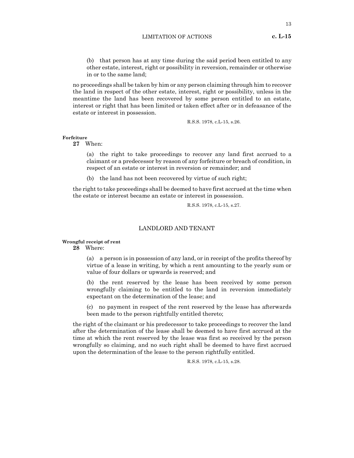(b) that person has at any time during the said period been entitled to any other estate, interest, right or possibility in reversion, remainder or otherwise in or to the same land;

no proceedings shall be taken by him or any person claiming through him to recover the land in respect of the other estate, interest, right or possibility, unless in the meantime the land has been recovered by some person entitled to an estate, interest or right that has been limited or taken effect after or in defeasance of the estate or interest in possession.

R.S.S. 1978, c.L-15, s.26.

# **Forfeiture**

**27** When:

(a) the right to take proceedings to recover any land first accrued to a claimant or a predecessor by reason of any forfeiture or breach of condition, in respect of an estate or interest in reversion or remainder; and

(b) the land has not been recovered by virtue of such right;

the right to take proceedings shall be deemed to have first accrued at the time when the estate or interest became an estate or interest in possession.

R.S.S. 1978, c.L-15, s.27.

### LANDLORD AND TENANT

#### **Wrongful receipt of rent**

**28** Where:

(a) a person is in possession of any land, or in receipt of the profits thereof by virtue of a lease in writing, by which a rent amounting to the yearly sum or value of four dollars or upwards is reserved; and

(b) the rent reserved by the lease has been received by some person wrongfully claiming to be entitled to the land in reversion immediately expectant on the determination of the lease; and

(c) no payment in respect of the rent reserved by the lease has afterwards been made to the person rightfully entitled thereto;

the right of the claimant or his predecessor to take proceedings to recover the land after the determination of the lease shall be deemed to have first accrued at the time at which the rent reserved by the lease was first so received by the person wrongfully so claiming, and no such right shall be deemed to have first accrued upon the determination of the lease to the person rightfully entitled.

R.S.S. 1978, c.L-15, s.28.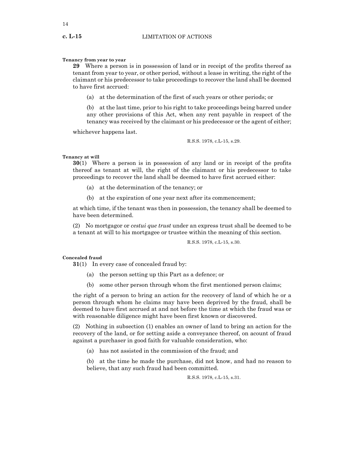#### **Tenancy from year to year**

**29** Where a person is in possession of land or in receipt of the profits thereof as tenant from year to year, or other period, without a lease in writing, the right of the claimant or his predecessor to take proceedings to recover the land shall be deemed to have first accrued:

(a) at the determination of the first of such years or other periods; or

(b) at the last time, prior to his right to take proceedings being barred under any other provisions of this Act, when any rent payable in respect of the tenancy was received by the claimant or his predecessor or the agent of either;

whichever happens last.

R.S.S. 1978, c.L-15, s.29.

#### **Tenancy at will**

**30**(1) Where a person is in possession of any land or in receipt of the profits thereof as tenant at will, the right of the claimant or his predecessor to take proceedings to recover the land shall be deemed to have first accrued either:

- (a) at the determination of the tenancy; or
- (b) at the expiration of one year next after its commencement;

at which time, if the tenant was then in possession, the tenancy shall be deemed to have been determined.

(2) No mortgagor or *cestui que trust* under an express trust shall be deemed to be a tenant at will to his mortgagee or trustee within the meaning of this section.

R.S.S. 1978, c.L-15, s.30.

#### **Concealed fraud**

**31**(1) In every case of concealed fraud by:

- (a) the person setting up this Part as a defence; or
- (b) some other person through whom the first mentioned person claims;

the right of a person to bring an action for the recovery of land of which he or a person through whom he claims may have been deprived by the fraud, shall be deemed to have first accrued at and not before the time at which the fraud was or with reasonable diligence might have been first known or discovered.

(2) Nothing in subsection (1) enables an owner of land to bring an action for the recovery of the land, or for setting aside a conveyance thereof, on acount of fraud against a purchaser in good faith for valuable consideration, who:

(a) has not assisted in the commission of the fraud; and

(b) at the time he made the purchase, did not know, and had no reason to believe, that any such fraud had been committed.

R.S.S. 1978, c.L-15, s.31.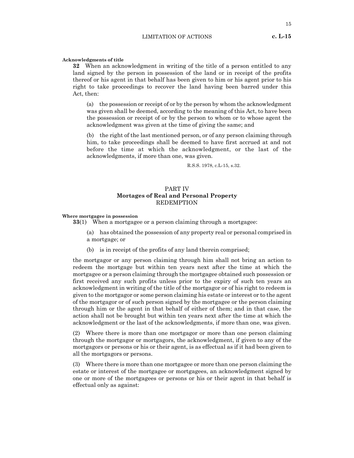#### **Acknowledgments of title**

**32** When an acknowledgment in writing of the title of a person entitled to any land signed by the person in possession of the land or in receipt of the profits thereof or his agent in that behalf has been given to him or his agent prior to his right to take proceedings to recover the land having been barred under this Act, then:

(a) the possession or receipt of or by the person by whom the acknowledgment was given shall be deemed, according to the meaning of this Act, to have been the possession or receipt of or by the person to whom or to whose agent the acknowledgment was given at the time of giving the same; and

(b) the right of the last mentioned person, or of any person claiming through him, to take proceedings shall be deemed to have first accrued at and not before the time at which the acknowledgment, or the last of the acknowledgments, if more than one, was given.

R.S.S. 1978, c.L-15, s.32.

# PART IV **Mortages of Real and Personal Property** REDEMPTION

#### **Where mortgagee in possession**

**33**(1) When a mortgagee or a person claiming through a mortgagee:

- (a) has obtained the possession of any property real or personal comprised in a mortgage; or
- (b) is in receipt of the profits of any land therein comprised;

the mortgagor or any person claiming through him shall not bring an action to redeem the mortgage but within ten years next after the time at which the mortgagee or a person claiming through the mortgagee obtained such possession or first received any such profits unless prior to the expiry of such ten years an acknowledgment in writing of the title of the mortgagor or of his right to redeem is given to the mortgagor or some person claiming his estate or interest or to the agent of the mortgagor or of such person signed by the mortgagee or the person claiming through him or the agent in that behalf of either of them; and in that case, the action shall not be brought but within ten years next after the time at which the acknowledgment or the last of the acknowledgments, if more than one, was given.

(2) Where there is more than one mortgagor or more than one person claiming through the mortgagor or mortgagors, the acknowledgment, if given to any of the mortgagors or persons or his or their agent, is as effectual as if it had been given to all the mortgagors or persons.

(3) Where there is more than one mortgagee or more than one person claiming the estate or interest of the mortgagee or mortgagees, an acknowledgment signed by one or more of the mortgagees or persons or his or their agent in that behalf is effectual only as against: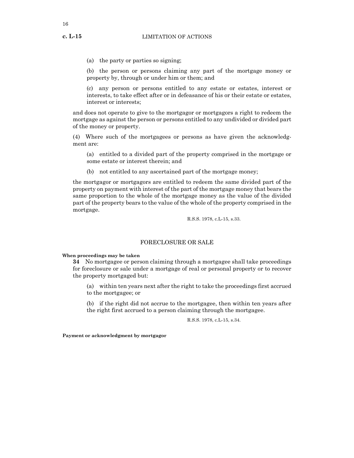(a) the party or parties so signing;

(b) the person or persons claiming any part of the mortgage money or property by, through or under him or them; and

(c) any person or persons entitled to any estate or estates, interest or interests, to take effect after or in defeasance of his or their estate or estates, interest or interests;

and does not operate to give to the mortgagor or mortgagors a right to redeem the mortgage as against the person or persons entitled to any undivided or divided part of the money or property.

(4) Where such of the mortgagees or persons as have given the acknowledgment are:

(a) entitled to a divided part of the property comprised in the mortgage or some estate or interest therein; and

(b) not entitled to any ascertained part of the mortgage money;

the mortgagor or mortgagors are entitled to redeem the same divided part of the property on payment with interest of the part of the mortgage money that bears the same proportion to the whole of the mortgage money as the value of the divided part of the property bears to the value of the whole of the property comprised in the mortgage.

R.S.S. 1978, c.L-15, s.33.

# FORECLOSURE OR SALE

#### **When proceedings may be taken**

**34** No mortgagee or person claiming through a mortgagee shall take proceedings for foreclosure or sale under a mortgage of real or personal property or to recover the property mortgaged but:

(a) within ten years next after the right to take the proceedings first accrued to the mortgagee; or

(b) if the right did not accrue to the mortgagee, then within ten years after the right first accrued to a person claiming through the mortgagee.

R.S.S. 1978, c.L-15, s.34.

**Payment or acknowledgment by mortgagor**

16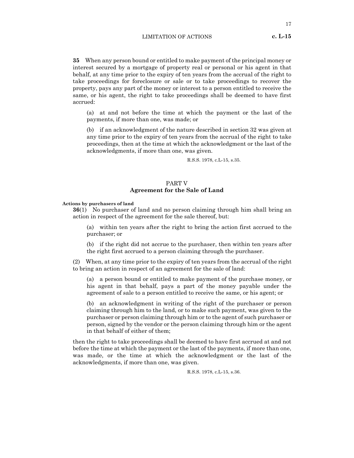**35** When any person bound or entitled to make payment of the principal money or interest secured by a mortgage of property real or personal or his agent in that behalf, at any time prior to the expiry of ten years from the accrual of the right to take proceedings for foreclosure or sale or to take proceedings to recover the property, pays any part of the money or interest to a person entitled to receive the same, or his agent, the right to take proceedings shall be deemed to have first accrued:

(a) at and not before the time at which the payment or the last of the payments, if more than one, was made; or

(b) if an acknowledgment of the nature described in section 32 was given at any time prior to the expiry of ten years from the accrual of the right to take proceedings, then at the time at which the acknowledgment or the last of the acknowledgments, if more than one, was given.

R.S.S. 1978, c.L-15, s.35.

#### PART V **Agreement for the Sale of Land**

#### **Actions by purchasers of land**

**36**(1) No purchaser of land and no person claiming through him shall bring an action in respect of the agreement for the sale thereof, but:

(a) within ten years after the right to bring the action first accrued to the purchaser; or

(b) if the right did not accrue to the purchaser, then within ten years after the right first accrued to a person claiming through the purchaser.

(2) When, at any time prior to the expiry of ten years from the accrual of the right to bring an action in respect of an agreement for the sale of land:

(a) a person bound or entitled to make payment of the purchase money, or his agent in that behalf, pays a part of the money payable under the agreement of sale to a person entitled to receive the same, or his agent; or

(b) an acknowledgment in writing of the right of the purchaser or person claiming through him to the land, or to make such payment, was given to the purchaser or person claiming through him or to the agent of such purchaser or person, signed by the vendor or the person claiming through him or the agent in that behalf of either of them;

then the right to take proceedings shall be deemed to have first accrued at and not before the time at which the payment or the last of the payments, if more than one, was made, or the time at which the acknowledgment or the last of the acknowledgments, if more than one, was given.

R.S.S. 1978, c.L-15, s.36.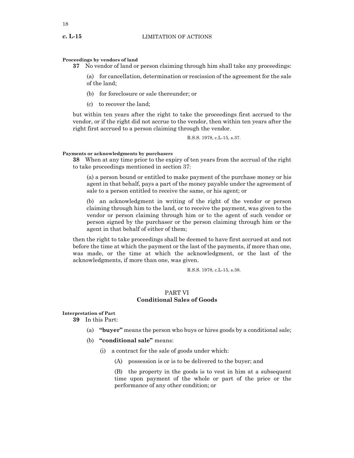#### **Proceedings by vendors of land**

**37** No vendor of land or person claiming through him shall take any proceedings:

(a) for cancellation, determination or rescission of the agreement for the sale of the land;

- (b) for foreclosure or sale thereunder; or
- (c) to recover the land;

but within ten years after the right to take the proceedings first accrued to the vendor, or if the right did not accrue to the vendor, then within ten years after the right first accrued to a person claiming through the vendor.

R.S.S. 1978, c.L-15, s.37.

#### **Payments or acknowledgments by purchasers**

**38** When at any time prior to the expiry of ten years from the accrual of the right to take proceedings mentioned in section 37:

(a) a person bound or entitled to make payment of the purchase money or his agent in that behalf, pays a part of the money payable under the agreement of sale to a person entitled to receive the same, or his agent; or

(b) an acknowledgment in writing of the right of the vendor or person claiming through him to the land, or to receive the payment, was given to the vendor or person claiming through him or to the agent of such vendor or person signed by the purchaser or the person claiming through him or the agent in that behalf of either of them;

then the right to take proceedings shall be deemed to have first accrued at and not before the time at which the payment or the last of the payments, if more than one, was made, or the time at which the acknowledgment, or the last of the acknowledgments, if more than one, was given.

R.S.S. 1978, c.L-15, s.38.

# PART VI **Conditional Sales of Goods**

**Interpretation of Part**

**39** In this Part:

- (a) **"buyer"** means the person who buys or hires goods by a conditional sale;
- (b) **"conditional sale"** means:
	- (i) a contract for the sale of goods under which:
		- (A) possession is or is to be delivered to the buyer; and

(B) the property in the goods is to vest in him at a subsequent time upon payment of the whole or part of the price or the performance of any other condition; or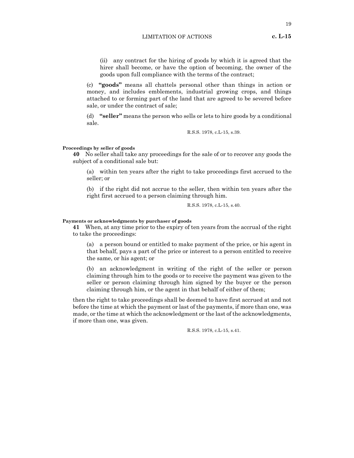(ii) any contract for the hiring of goods by which it is agreed that the hirer shall become, or have the option of becoming, the owner of the goods upon full compliance with the terms of the contract;

(c) **"goods"** means all chattels personal other than things in action or money, and includes emblements, industrial growing crops, and things attached to or forming part of the land that are agreed to be severed before sale, or under the contract of sale;

(d) **"seller"** means the person who sells or lets to hire goods by a conditional sale.

R.S.S. 1978, c.L-15, s.39.

#### **Proceedings by seller of goods**

**40** No seller shall take any proceedings for the sale of or to recover any goods the subject of a conditional sale but:

(a) within ten years after the right to take proceedings first accrued to the seller; or

(b) if the right did not accrue to the seller, then within ten years after the right first accrued to a person claiming through him.

R.S.S. 1978, c.L-15, s.40.

#### **Payments or acknowledgments by purchaser of goods**

**41** When, at any time prior to the expiry of ten years from the accrual of the right to take the proceedings:

(a) a person bound or entitled to make payment of the price, or his agent in that behalf, pays a part of the price or interest to a person entitled to receive the same, or his agent; or

(b) an acknowledgment in writing of the right of the seller or person claiming through him to the goods or to receive the payment was given to the seller or person claiming through him signed by the buyer or the person claiming through him, or the agent in that behalf of either of them;

then the right to take proceedings shall be deemed to have first accrued at and not before the time at which the payment or last of the payments, if more than one, was made, or the time at which the acknowledgment or the last of the acknowledgments, if more than one, was given.

R.S.S. 1978, c.L-15, s.41.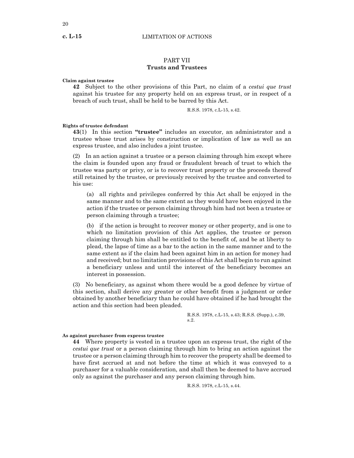# PART VII **Trusts and Trustees**

#### **Claim against trustee**

**42** Subject to the other provisions of this Part, no claim of a *cestui que trust* against his trustee for any property held on an express trust, or in respect of a breach of such trust, shall be held to be barred by this Act.

R.S.S. 1978, c.L-15, s.42.

#### **Rights of trustee defendant**

**43**(1) In this section **"trustee"** includes an executor, an administrator and a trustee whose trust arises by construction or implication of law as well as an express trustee, and also includes a joint trustee.

(2) In an action against a trustee or a person claiming through him except where the claim is founded upon any fraud or fraudulent breach of trust to which the trustee was party or privy, or is to recover trust property or the proceeds thereof still retained by the trustee, or previously received by the trustee and converted to his use:

(a) all rights and privileges conferred by this Act shall be enjoyed in the same manner and to the same extent as they would have been enjoyed in the action if the trustee or person claiming through him had not been a trustee or person claiming through a trustee;

(b) if the action is brought to recover money or other property, and is one to which no limitation provision of this Act applies, the trustee or person claiming through him shall be entitled to the benefit of, and be at liberty to plead, the lapse of time as a bar to the action in the same manner and to the same extent as if the claim had been against him in an action for money had and received; but no limitation provisions of this Act shall begin to run against a beneficiary unless and until the interest of the beneficiary becomes an interest in possession.

(3) No beneficiary, as against whom there would be a good defence by virtue of this section, shall derive any greater or other benefit from a judgment or order obtained by another beneficiary than he could have obtained if he had brought the action and this section had been pleaded.

> R.S.S. 1978, c.L-15, s.43; R.S.S. (Supp.), c.39, s.2.

#### **As against purchaser from express trustee**

**44** Where property is vested in a trustee upon an express trust, the right of the *cestui que trust* or a person claiming through him to bring an action against the trustee or a person claiming through him to recover the property shall be deemed to have first accrued at and not before the time at which it was conveyed to a purchaser for a valuable consideration, and shall then be deemed to have accrued only as against the purchaser and any person claiming through him.

R.S.S. 1978, c.L-15, s.44.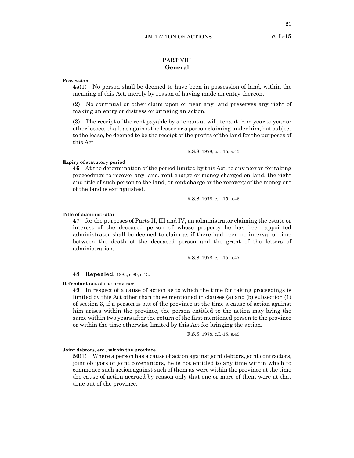# PART VIII **General**

#### **Possession**

**45**(1) No person shall be deemed to have been in possession of land, within the meaning of this Act, merely by reason of having made an entry thereon.

(2) No continual or other claim upon or near any land preserves any right of making an entry or distress or bringing an action.

(3) The receipt of the rent payable by a tenant at will, tenant from year to year or other lessee, shall, as against the lessee or a person claiming under him, but subject to the lease, be deemed to be the receipt of the profits of the land for the purposes of this Act.

R.S.S. 1978, c.L-15, s.45.

# **Expiry of statutory period**

**46** At the determination of the period limited by this Act, to any person for taking proceedings to recover any land, rent charge or money charged on land, the right and title of such person to the land, or rent charge or the recovery of the money out of the land is extinguished.

R.S.S. 1978, c.L-15, s.46.

#### **Title of administrator**

**47** for the purposes of Parts II, III and IV, an administrator claiming the estate or interest of the deceased person of whose property he has been appointed administrator shall be deemed to claim as if there had been no interval of time between the death of the deceased person and the grant of the letters of administration.

R.S.S. 1978, c.L-15, s.47.

#### **48 Repealed.** 1983, c.80, s.13.

#### **Defendant out of the province**

**49** In respect of a cause of action as to which the time for taking proceedings is limited by this Act other than those mentioned in clauses (a) and (b) subsection (1) of section 3, if a person is out of the province at the time a cause of action against him arises within the province, the person entitled to the action may bring the same within two years after the return of the first mentioned person to the province or within the time otherwise limited by this Act for bringing the action.

R.S.S. 1978, c.L-15, s.49.

#### **Joint debtors, etc., within the province**

**50**(1) Where a person has a cause of action against joint debtors, joint contractors, joint obligors or joint covenantors, he is not entitled to any time within which to commence such action against such of them as were within the province at the time the cause of action accrued by reason only that one or more of them were at that time out of the province.